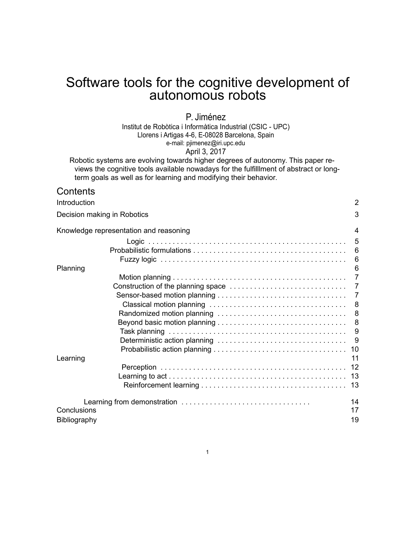# Software tools for the cognitive development of autonomous robots

### P. Jiménez

Institut de Robòtica i Informàtica Industrial (CSIC - UPC) Llorens i Artigas 4-6, E-08028 Barcelona, Spain e-mail: pjimenez@iri.upc.edu April 3, 2017

Robotic systems are evolving towards higher degrees of autonomy. This paper reviews the cognitive tools available nowadays for the fulfilllment of abstract or longterm goals as well as for learning and modifying their behavior.

### **Contents**

| Introduction                           | $\overline{2}$ |
|----------------------------------------|----------------|
| Decision making in Robotics            | 3              |
| Knowledge representation and reasoning | $\overline{4}$ |
|                                        | 5              |
|                                        |                |
|                                        | 6              |
| Planning                               | 6              |
|                                        | $\overline{7}$ |
|                                        |                |
|                                        | $\overline{7}$ |
|                                        | $^{\circ}$ 8   |
|                                        |                |
|                                        | 8              |
|                                        |                |
|                                        | $_{9}$         |
|                                        |                |
| Learning                               | 11             |
|                                        |                |
|                                        |                |
|                                        |                |
|                                        | 14             |
| Conclusions                            | 17             |
| Bibliography                           | 19             |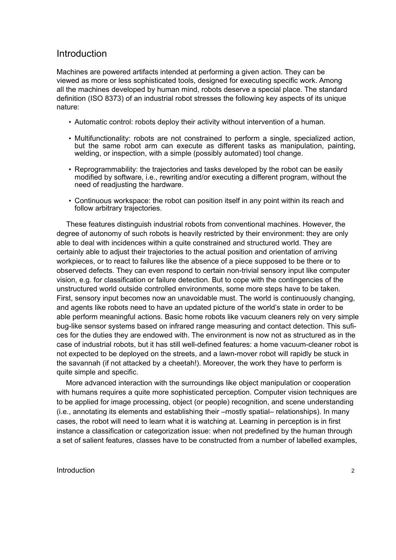### Introduction

Machines are powered artifacts intended at performing a given action. They can be viewed as more or less sophisticated tools, designed for executing specific work. Among all the machines developed by human mind, robots deserve a special place. The standard definition (ISO 8373) of an industrial robot stresses the following key aspects of its unique nature:

- Automatic control: robots deploy their activity without intervention of a human.
- Multifunctionality: robots are not constrained to perform a single, specialized action, but the same robot arm can execute as different tasks as manipulation, painting, welding, or inspection, with a simple (possibly automated) tool change.
- Reprogrammability: the trajectories and tasks developed by the robot can be easily modified by software, i.e., rewriting and/or executing a different program, without the need of readjusting the hardware.
- Continuous workspace: the robot can position itself in any point within its reach and follow arbitrary trajectories.

These features distinguish industrial robots from conventional machines. However, the degree of autonomy of such robots is heavily restricted by their environment: they are only able to deal with incidences within a quite constrained and structured world. They are certainly able to adjust their trajectories to the actual position and orientation of arriving workpieces, or to react to failures like the absence of a piece supposed to be there or to observed defects. They can even respond to certain non-trivial sensory input like computer vision, e.g. for classification or failure detection. But to cope with the contingencies of the unstructured world outside controlled environments, some more steps have to be taken. First, sensory input becomes now an unavoidable must. The world is continuously changing, and agents like robots need to have an updated picture of the world's state in order to be able perform meaningful actions. Basic home robots like vacuum cleaners rely on very simple bug-like sensor systems based on infrared range measuring and contact detection. This sufices for the duties they are endowed with. The environment is now not as structured as in the case of industrial robots, but it has still well-defined features: a home vacuum-cleaner robot is not expected to be deployed on the streets, and a lawn-mover robot will rapidly be stuck in the savannah (if not attacked by a cheetah!). Moreover, the work they have to perform is quite simple and specific.

More advanced interaction with the surroundings like object manipulation or cooperation with humans requires a quite more sophisticated perception. Computer vision techniques are to be applied for image processing, object (or people) recognition, and scene understanding (i.e., annotating its elements and establishing their –mostly spatial– relationships). In many cases, the robot will need to learn what it is watching at. Learning in perception is in first instance a classification or categorization issue: when not predefined by the human through a set of salient features, classes have to be constructed from a number of labelled examples,

#### Introduction 2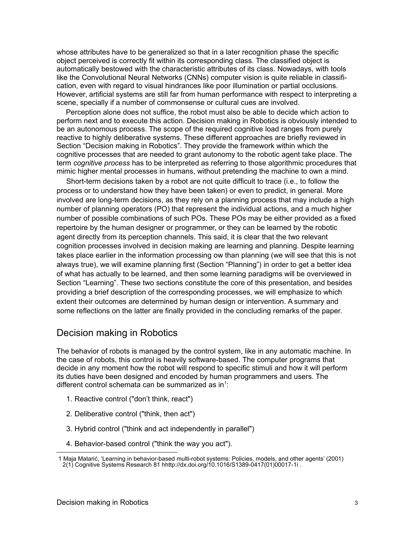whose attributes have to be generalized so that in a later recognition phase the specific object perceived is correctly fit within its corresponding class. The classified object is automatically bestowed with the characteristic attributes of its class. Nowadays, with tools like the Convolutional Neural Networks (CNNs) computer vision is quite reliable in classification, even with regard to visual hindrances like poor illumination or partial occlusions. However, artificial systems are still far from human performance with respect to interpreting a scene, specially if a number of commonsense or cultural cues are involved.

Perception alone does not suffice, the robot must also be able to decide which action to perform next and to execute this action. Decision making in Robotics is obviously intended to be an autonomous process. The scope of the required cognitive load ranges from purely reactive to highly deliberative systems. These different approaches are briefly reviewed in Section "Decision making in Robotics". They provide the framework within which the cognitive processes that are needed to grant autonomy to the robotic agent take place. The term *cognitive process* has to be interpreted as referring to those algorithmic procedures that mimic higher mental processes in humans, without pretending the machine to own a mind.

Short-term decisions taken by a robot are not quite difficult to trace (i.e., to follow the process or to understand how they have been taken) or even to predict, in general. More involved are long-term decisions, as they rely on a planning process that may include a high number of planning operators (PO) that represent the individual actions, and a much higher number of possible combinations of such POs. These POs may be either provided as a fixed repertoire by the human designer or programmer, or they can be learned by the robotic agent directly from its perception channels. This said, it is clear that the two relevant cognition processes involved in decision making are learning and planning. Despite learning takes place earlier in the information processing ow than planning (we will see that this is not always true), we will examine planning first (Section "Planning") in order to get a better idea of what has actually to be learned, and then some learning paradigms will be overviewed in Section "Learning". These two sections constitute the core of this presentation, and besides providing a brief description of the corresponding processes, we will emphasize to which extent their outcomes are determined by human design or intervention. A summary and some reflections on the latter are finally provided in the concluding remarks of the paper.

# Decision making in Robotics

The behavior of robots is managed by the control system, like in any automatic machine. In the case of robots, this control is heavily software-based. The computer programs that decide in any moment how the robot will respond to specific stimuli and how it will perform its duties have been designed and encoded by human programmers and users. The different control schemata can be summarized as in<sup>1</sup>:

- 1. Reactive control ("don't think, react")
- 2. Deliberative control ("think, then act")
- 3. Hybrid control ("think and act independently in parallel")
- 4. Behavior-based control ("think the way you act").

<sup>1</sup> Maja Matarić, 'Learning in behavior-based multi-robot systems: Policies, models, and other agents' (2001) 2(1) Cognitive Systems Research 81 hhttp://dx.doi.org/10.1016/S1389-0417(01)00017-1i .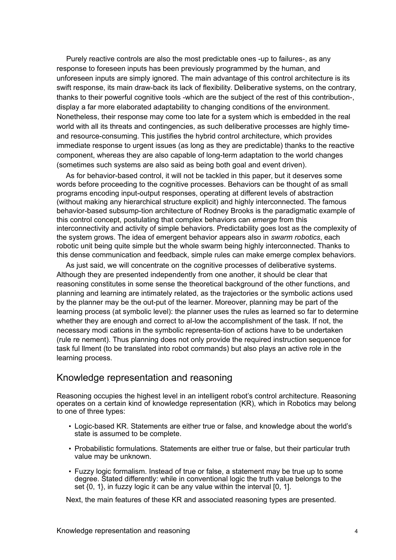Purely reactive controls are also the most predictable ones -up to failures-, as any response to foreseen inputs has been previously programmed by the human, and unforeseen inputs are simply ignored. The main advantage of this control architecture is its swift response, its main draw-back its lack of flexibility. Deliberative systems, on the contrary, thanks to their powerful cognitive tools -which are the subject of the rest of this contribution-, display a far more elaborated adaptability to changing conditions of the environment. Nonetheless, their response may come too late for a system which is embedded in the real world with all its threats and contingencies, as such deliberative processes are highly timeand resource-consuming. This justifies the hybrid control architecture, which provides immediate response to urgent issues (as long as they are predictable) thanks to the reactive component, whereas they are also capable of long-term adaptation to the world changes (sometimes such systems are also said as being both goal and event driven).

As for behavior-based control, it will not be tackled in this paper, but it deserves some words before proceeding to the cognitive processes. Behaviors can be thought of as small programs encoding input-output responses, operating at different levels of abstraction (without making any hierarchical structure explicit) and highly interconnected. The famous behavior-based subsump-tion architecture of Rodney Brooks is the paradigmatic example of this control concept, postulating that complex behaviors can *emerge* from this interconnectivity and activity of simple behaviors. Predictability goes lost as the complexity of the system grows. The idea of emergent behavior appears also in *swarm robotics*, each robotic unit being quite simple but the whole swarm being highly interconnected. Thanks to this dense communication and feedback, simple rules can make emerge complex behaviors.

As just said, we will concentrate on the cognitive processes of deliberative systems. Although they are presented independently from one another, it should be clear that reasoning constitutes in some sense the theoretical background of the other functions, and planning and learning are intimately related, as the trajectories or the symbolic actions used by the planner may be the out-put of the learner. Moreover, planning may be part of the learning process (at symbolic level): the planner uses the rules as learned so far to determine whether they are enough and correct to al-low the accomplishment of the task. If not, the necessary modi cations in the symbolic representa-tion of actions have to be undertaken (rule re nement). Thus planning does not only provide the required instruction sequence for task ful llment (to be translated into robot commands) but also plays an active role in the learning process.

# Knowledge representation and reasoning

Reasoning occupies the highest level in an intelligent robot's control architecture. Reasoning operates on a certain kind of knowledge representation (KR), which in Robotics may belong to one of three types:

- Logic-based KR. Statements are either true or false, and knowledge about the world's state is assumed to be complete.
- Probabilistic formulations. Statements are either true or false, but their particular truth value may be unknown.
- Fuzzy logic formalism. Instead of true or false, a statement may be true up to some degree. Stated differently: while in conventional logic the truth value belongs to the set  $\{0, 1\}$ , in fuzzy logic it can be any value within the interval  $[0, 1]$ .

Next, the main features of these KR and associated reasoning types are presented.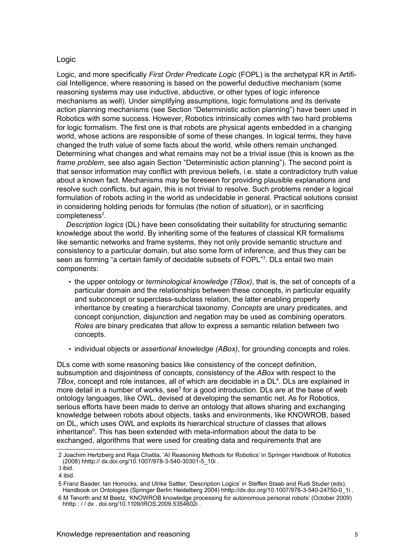### Logic

Logic, and more specifically *First Order Predicate Logic* (FOPL) is the archetypal KR in Artificial Intelligence, where reasoning is based on the powerful deductive mechanism (some reasoning systems may use inductive, abductive, or other types of logic inference mechanisms as well). Under simplifying assumptions, logic formulations and its derivate action planning mechanisms (see Section "Deterministic action planning") have been used in Robotics with some success. However, Robotics intrinsically comes with two hard problems for logic formalism. The first one is that robots are physical agents embedded in a changing world, whose actions are responsible of some of these changes. In logical terms, they have changed the truth value of some facts about the world, while others remain unchanged. Determining what changes and what remains may not be a trivial issue (this is known as the *frame problem*, see also again Section "Deterministic action planning"). The second point is that sensor information may conflict with previous beliefs, i.e. state a contradictory truth value about a known fact. Mechanisms may be foreseen for providing plausible explanations and resolve such conflicts, but again, this is not trivial to resolve. Such problems render a logical formulation of robots acting in the world as undecidable in general. Practical solutions consist in considering holding periods for formulas (the notion of *situation*), or in sacrificing  $completeness<sup>2</sup>$ .

*Description logics* (DL) have been consolidating their suitability for structuring semantic knowledge about the world. By inheriting some of the features of classical KR formalisms like semantic networks and frame systems, they not only provide semantic structure and consistency to a particular domain, but also some form of inference, and thus they can be seen as forming "a certain family of decidable subsets of FOPL"<sup>3</sup>. DLs entail two main components:

- the upper ontology or *terminological knowledge (TBox)*, that is, the set of concepts of a particular domain and the relationships between these concepts, in particular equality and subconcept or superclass-subclass relation, the latter enabling property inheritance by creating a hierarchical taxonomy. *Concepts* are unary predicates, and concept conjunction, disjunction and negation may be used as combining operators. *Roles* are binary predicates that allow to express a semantic relation between two concepts.
- individual objects or *assertional knowledge (ABox)*, for grounding concepts and roles.

DLs come with some reasoning basics like consistency of the concept definition, subsumption and disjointness of concepts, consistency of the *ABox* with respect to the TBox, concept and role instances, all of which are decidable in a DL<sup>4</sup>. DLs are explained in more detail in a number of works, see<sup>5</sup> for a good introduction. DLs are at the base of web ontology languages, like OWL, devised at developing the semantic net. As for Robotics, serious efforts have been made to derive an ontology that allows sharing and exchanging knowledge between robots about objects, tasks and environments, like KNOWROB, based on DL, which uses OWL and exploits its hierarchical structure of classes that allows inheritance<sup>6</sup>. This has been extended with meta-information about the data to be exchanged, algorithms that were used for creating data and requirements that are

<sup>2</sup> Joachim Hertzberg and Raja Chatila, 'AI Reasoning Methods for Robotics' in Springer Handbook of Robotics (2008) hhttp:// dx.doi.org/10.1007/978-3-540-30301-5\_10i .

<sup>3</sup> ibid. 4 ibid.

<sup>5</sup> Franz Baader, Ian Horrocks, and Ulrike Sattler, 'Description Logics' in Steffen Staab and Rudi Studer (eds), Handbook on Ontologies (Springer Berlin Heidelberg 2004) hhttp://dx.doi.org/10.1007/978-3-540-24750-0\_1i .

<sup>6</sup> M Tenorth and M Beetz, 'KNOWROB knowledge processing for autonomous personal robots' (October 2009) hhttp://dx.doi.org/10.1109/IROS.2009.5354602i.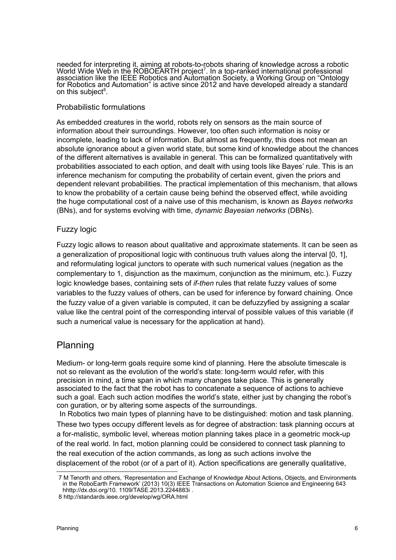needed for interpreting it, aiming at robots-to-robots sharing of knowledge across a robotic World Wide Web in the ROBOEARTH project<sup>7</sup>. In a top-ranked international professional association like the IEEE Robotics and Automation Society, a Working Group on "Ontology for Robotics and Automation" is active since 2012 and have developed already a standard on this subject<sup>8</sup>.

### Probabilistic formulations

As embedded creatures in the world, robots rely on sensors as the main source of information about their surroundings. However, too often such information is noisy or incomplete, leading to lack of information. But almost as frequently, this does not mean an absolute ignorance about a given world state, but some kind of knowledge about the chances of the different alternatives is available in general. This can be formalized quantitatively with probabilities associated to each option, and dealt with using tools like Bayes' rule. This is an inference mechanism for computing the probability of certain event, given the priors and dependent relevant probabilities. The practical implementation of this mechanism, that allows to know the probability of a certain cause being behind the observed effect, while avoiding the huge computational cost of a naive use of this mechanism, is known as *Bayes networks* (BNs), and for systems evolving with time, *dynamic Bayesian networks* (DBNs).

### Fuzzy logic

Fuzzy logic allows to reason about qualitative and approximate statements. It can be seen as a generalization of propositional logic with continuous truth values along the interval [0, 1], and reformulating logical junctors to operate with such numerical values (negation as the complementary to 1, disjunction as the maximum, conjunction as the minimum, etc.). Fuzzy logic knowledge bases, containing sets of *if-then* rules that relate fuzzy values of some variables to the fuzzy values of others, can be used for inference by forward chaining. Once the fuzzy value of a given variable is computed, it can be defuzzyfied by assigning a scalar value like the central point of the corresponding interval of possible values of this variable (if such a numerical value is necessary for the application at hand).

# Planning

Medium- or long-term goals require some kind of planning. Here the absolute timescale is not so relevant as the evolution of the world's state: long-term would refer, with this precision in mind, a time span in which many changes take place. This is generally associated to the fact that the robot has to concatenate a sequence of actions to achieve such a goal. Each such action modifies the world's state, either just by changing the robot's con guration, or by altering some aspects of the surroundings.

In Robotics two main types of planning have to be distinguished: motion and task planning. These two types occupy different levels as for degree of abstraction: task planning occurs at a for-malistic, symbolic level, whereas motion planning takes place in a geometric mock-up of the real world. In fact, motion planning could be considered to connect task planning to the real execution of the action commands, as long as such actions involve the displacement of the robot (or of a part of it). Action specifications are generally qualitative,

<sup>7</sup> M Tenorth and others, 'Representation and Exchange of Knowledge About Actions, Objects, and Environments in the RoboEarth Framework' (2013) 10(3) IEEE Transactions on Automation Science and Engineering 643 hhttp://dx.doi.org/10. 1109/TASE.2013.2244883i.

<sup>8</sup> http://standards.ieee.org/develop/wg/ORA.html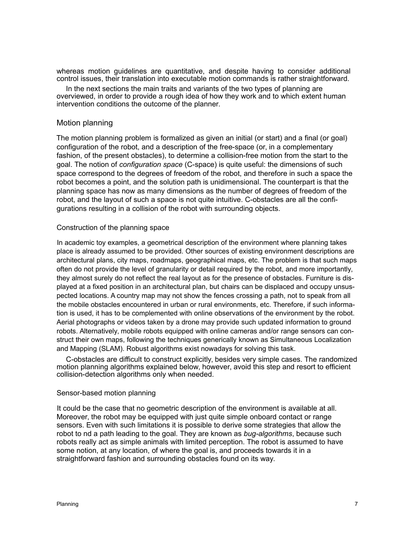whereas motion guidelines are quantitative, and despite having to consider additional control issues, their translation into executable motion commands is rather straightforward.

In the next sections the main traits and variants of the two types of planning are overviewed, in order to provide a rough idea of how they work and to which extent human intervention conditions the outcome of the planner.

#### Motion planning

The motion planning problem is formalized as given an initial (or start) and a final (or goal) configuration of the robot, and a description of the free-space (or, in a complementary fashion, of the present obstacles), to determine a collision-free motion from the start to the goal. The notion of *configuration space* (C-space) is quite useful: the dimensions of such space correspond to the degrees of freedom of the robot, and therefore in such a space the robot becomes a point, and the solution path is unidimensional. The counterpart is that the planning space has now as many dimensions as the number of degrees of freedom of the robot, and the layout of such a space is not quite intuitive. C-obstacles are all the configurations resulting in a collision of the robot with surrounding objects.

#### Construction of the planning space

In academic toy examples, a geometrical description of the environment where planning takes place is already assumed to be provided. Other sources of existing environment descriptions are architectural plans, city maps, roadmaps, geographical maps, etc. The problem is that such maps often do not provide the level of granularity or detail required by the robot, and more importantly, they almost surely do not reflect the real layout as for the presence of obstacles. Furniture is displayed at a fixed position in an architectural plan, but chairs can be displaced and occupy unsuspected locations. A country map may not show the fences crossing a path, not to speak from all the mobile obstacles encountered in urban or rural environments, etc. Therefore, if such information is used, it has to be complemented with online observations of the environment by the robot. Aerial photographs or videos taken by a drone may provide such updated information to ground robots. Alternatively, mobile robots equipped with online cameras and/or range sensors can construct their own maps, following the techniques generically known as Simultaneous Localization and Mapping (SLAM). Robust algorithms exist nowadays for solving this task.

C-obstacles are difficult to construct explicitly, besides very simple cases. The randomized motion planning algorithms explained below, however, avoid this step and resort to efficient collision-detection algorithms only when needed.

#### Sensor-based motion planning

It could be the case that no geometric description of the environment is available at all. Moreover, the robot may be equipped with just quite simple onboard contact or range sensors. Even with such limitations it is possible to derive some strategies that allow the robot to nd a path leading to the goal. They are known as *bug-algorithms*, because such robots really act as simple animals with limited perception. The robot is assumed to have some notion, at any location, of where the goal is, and proceeds towards it in a straightforward fashion and surrounding obstacles found on its way.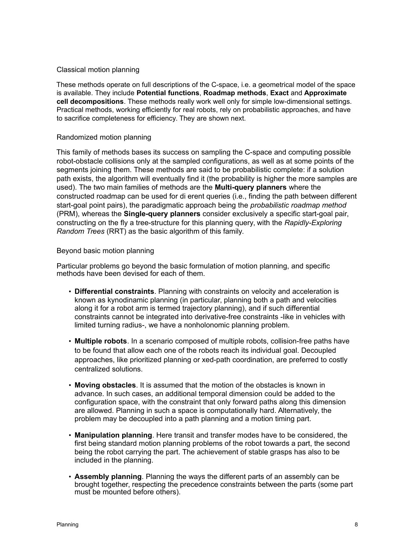#### Classical motion planning

These methods operate on full descriptions of the C-space, i.e. a geometrical model of the space is available. They include **Potential functions**, **Roadmap methods**, **Exact** and **Approximate cell decompositions**. These methods really work well only for simple low-dimensional settings. Practical methods, working efficiently for real robots, rely on probabilistic approaches, and have to sacrifice completeness for efficiency. They are shown next.

#### Randomized motion planning

This family of methods bases its success on sampling the C-space and computing possible robot-obstacle collisions only at the sampled configurations, as well as at some points of the segments joining them. These methods are said to be probabilistic complete: if a solution path exists, the algorithm will eventually find it (the probability is higher the more samples are used). The two main families of methods are the **Multi-query planners** where the constructed roadmap can be used for di erent queries (i.e., finding the path between different start-goal point pairs), the paradigmatic approach being the *probabilistic roadmap method* (PRM), whereas the **Single-query planners** consider exclusively a specific start-goal pair, constructing on the fly a tree-structure for this planning query, with the *Rapidly-Exploring Random Trees* (RRT) as the basic algorithm of this family.

#### Beyond basic motion planning

Particular problems go beyond the basic formulation of motion planning, and specific methods have been devised for each of them.

- **Differential constraints**. Planning with constraints on velocity and acceleration is known as kynodinamic planning (in particular, planning both a path and velocities along it for a robot arm is termed trajectory planning), and if such differential constraints cannot be integrated into derivative-free constraints -like in vehicles with limited turning radius-, we have a nonholonomic planning problem.
- **Multiple robots**. In a scenario composed of multiple robots, collision-free paths have to be found that allow each one of the robots reach its individual goal. Decoupled approaches, like prioritized planning or xed-path coordination, are preferred to costly centralized solutions.
- **Moving obstacles**. It is assumed that the motion of the obstacles is known in advance. In such cases, an additional temporal dimension could be added to the configuration space, with the constraint that only forward paths along this dimension are allowed. Planning in such a space is computationally hard. Alternatively, the problem may be decoupled into a path planning and a motion timing part.
- **Manipulation planning**. Here transit and transfer modes have to be considered, the first being standard motion planning problems of the robot towards a part, the second being the robot carrying the part. The achievement of stable grasps has also to be included in the planning.
- **Assembly planning**. Planning the ways the different parts of an assembly can be brought together, respecting the precedence constraints between the parts (some part must be mounted before others).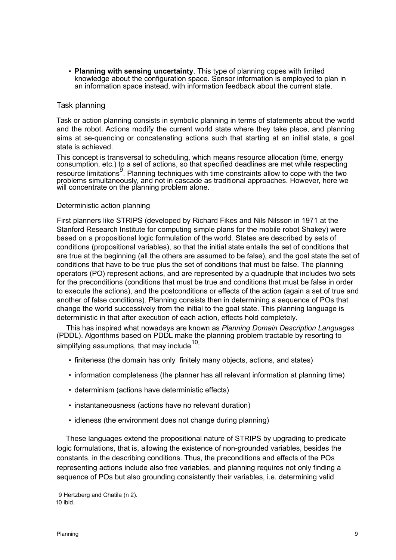• **Planning with sensing uncertainty**. This type of planning copes with limited knowledge about the configuration space. Sensor information is employed to plan in an information space instead, with information feedback about the current state.

### Task planning

Task or action planning consists in symbolic planning in terms of statements about the world and the robot. Actions modify the current world state where they take place, and planning aims at se-quencing or concatenating actions such that starting at an initial state, a goal state is achieved.

This concept is transversal to scheduling, which means resource allocation (time, energy consumption, etc.) to a set of actions, so that specified deadlines are met while respecting resource limitations<sup>9</sup>. Planning techniques with time constraints allow to cope with the two problems simultaneously, and not in cascade as traditional approaches. However, here we will concentrate on the planning problem alone.

#### Deterministic action planning

First planners like STRIPS (developed by Richard Fikes and Nils Nilsson in 1971 at the Stanford Research Institute for computing simple plans for the mobile robot Shakey) were based on a propositional logic formulation of the world. States are described by sets of conditions (propositional variables), so that the initial state entails the set of conditions that are true at the beginning (all the others are assumed to be false), and the goal state the set of conditions that have to be true plus the set of conditions that must be false. The planning operators (PO) represent actions, and are represented by a quadruple that includes two sets for the preconditions (conditions that must be true and conditions that must be false in order to execute the actions), and the postconditions or effects of the action (again a set of true and another of false conditions). Planning consists then in determining a sequence of POs that change the world successively from the initial to the goal state. This planning language is deterministic in that after execution of each action, effects hold completely.

This has inspired what nowadays are known as *Planning Domain Description Languages*  (PDDL). Algorithms based on PDDL make the planning problem tractable by resorting to simplifying assumptions, that may include  $^{10}$ :

- finiteness (the domain has only finitely many objects, actions, and states)
- information completeness (the planner has all relevant information at planning time)
- determinism (actions have deterministic effects)
- instantaneousness (actions have no relevant duration)
- idleness (the environment does not change during planning)

These languages extend the propositional nature of STRIPS by upgrading to predicate logic formulations, that is, allowing the existence of non-grounded variables, besides the constants, in the describing conditions. Thus, the preconditions and effects of the POs representing actions include also free variables, and planning requires not only finding a sequence of POs but also grounding consistently their variables, i.e. determining valid

<sup>9</sup> Hertzberg and Chatila (n 2). 10 ibid.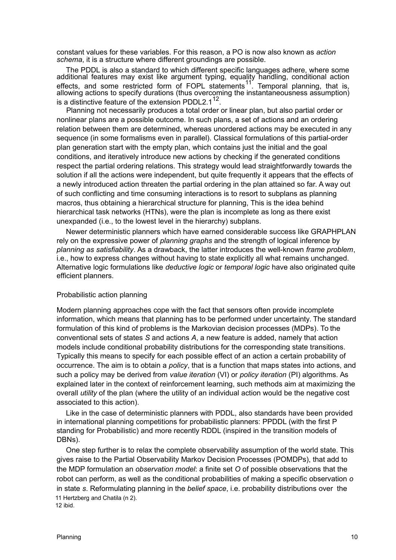constant values for these variables. For this reason, a PO is now also known as *action schema*, it is a structure where different groundings are possible.

The PDDL is also a standard to which different specific languages adhere, where some additional features may exist like argument typing, equality handling, conditional action effects, and some restricted form of FOPL statements<sup>11</sup>. Temporal planning, that is, allowing actions to specify durations (thus overcoming the instantaneousness assumption) is a distinctive feature of the extension PDDL2.1<sup>12</sup>.

Planning not necessarily produces a total order or linear plan, but also partial order or nonlinear plans are a possible outcome. In such plans, a set of actions and an ordering relation between them are determined, whereas unordered actions may be executed in any sequence (in some formalisms even in parallel). Classical formulations of this partial-order plan generation start with the empty plan, which contains just the initial and the goal conditions, and iteratively introduce new actions by checking if the generated conditions respect the partial ordering relations. This strategy would lead straightforwardly towards the solution if all the actions were independent, but quite frequently it appears that the effects of a newly introduced action threaten the partial ordering in the plan attained so far. A way out of such conflicting and time consuming interactions is to resort to subplans as planning macros, thus obtaining a hierarchical structure for planning, This is the idea behind hierarchical task networks (HTNs), were the plan is incomplete as long as there exist unexpanded (i.e., to the lowest level in the hierarchy) subplans.

Newer deterministic planners which have earned considerable success like GRAPHPLAN rely on the expressive power of *planning graphs* and the strength of logical inference by *planning as satisfiability*. As a drawback, the latter introduces the well-known *frame problem*, i.e., how to express changes without having to state explicitly all what remains unchanged. Alternative logic formulations like *deductive logic* or *temporal logic* have also originated quite efficient planners.

#### Probabilistic action planning

Modern planning approaches cope with the fact that sensors often provide incomplete information, which means that planning has to be performed under uncertainty. The standard formulation of this kind of problems is the Markovian decision processes (MDPs). To the conventional sets of states *S* and actions *A*, a new feature is added, namely that action models include conditional probability distributions for the corresponding state transitions. Typically this means to specify for each possible effect of an action a certain probability of occurrence. The aim is to obtain a *policy*, that is a function that maps states into actions, and such a policy may be derived from *value iteration* (VI) or *policy iteration* (PI) algorithms. As explained later in the context of reinforcement learning, such methods aim at maximizing the overall *utility* of the plan (where the utility of an individual action would be the negative cost associated to this action).

Like in the case of deterministic planners with PDDL, also standards have been provided in international planning competitions for probabilistic planners: PPDDL (with the first P standing for Probabilistic) and more recently RDDL (inspired in the transition models of DBNs).

One step further is to relax the complete observability assumption of the world state. This gives raise to the Partial Observability Markov Decision Processes (POMDPs), that add to the MDP formulation an *observation model*: a finite set *O* of possible observations that the robot can perform, as well as the conditional probabilities of making a specific observation *o* in state *s*. Reformulating planning in the *belief space*, i.e. probability distributions over the 11 Hertzberg and Chatila (n 2). 12 ibid.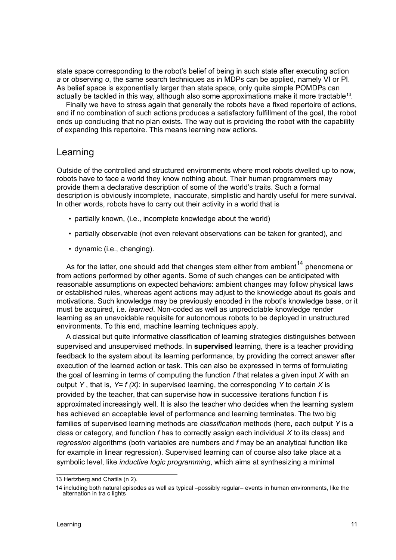state space corresponding to the robot's belief of being in such state after executing action *a* or observing *o*, the same search techniques as in MDPs can be applied, namely VI or PI. As belief space is exponentially larger than state space, only quite simple POMDPs can actually be tackled in this way, although also some approximations make it more tractable<sup>13</sup>.

Finally we have to stress again that generally the robots have a fixed repertoire of actions, and if no combination of such actions produces a satisfactory fulfillment of the goal, the robot ends up concluding that no plan exists. The way out is providing the robot with the capability of expanding this repertoire. This means learning new actions.

# Learning

Outside of the controlled and structured environments where most robots dwelled up to now, robots have to face a world they know nothing about. Their human programmers may provide them a declarative description of some of the world's traits. Such a formal description is obviously incomplete, inaccurate, simplistic and hardly useful for mere survival. In other words, robots have to carry out their activity in a world that is

- partially known, (i.e., incomplete knowledge about the world)
- partially observable (not even relevant observations can be taken for granted), and
- dynamic (i.e., changing).

As for the latter, one should add that changes stem either from ambient<sup>14</sup> phenomena or from actions performed by other agents. Some of such changes can be anticipated with reasonable assumptions on expected behaviors: ambient changes may follow physical laws or established rules, whereas agent actions may adjust to the knowledge about its goals and motivations. Such knowledge may be previously encoded in the robot's knowledge base, or it must be acquired, i.e. *learned*. Non-coded as well as unpredictable knowledge render learning as an unavoidable requisite for autonomous robots to be deployed in unstructured environments. To this end, machine learning techniques apply.

A classical but quite informative classification of learning strategies distinguishes between supervised and unsupervised methods. In **supervised** learning, there is a teacher providing feedback to the system about its learning performance, by providing the correct answer after execution of the learned action or task. This can also be expressed in terms of formulating the goal of learning in terms of computing the function *f* that relates a given input *X* with an output *Y* , that is, *Y= f (X)*: in supervised learning, the corresponding *Y* to certain *X* is provided by the teacher, that can supervise how in successive iterations function f is approximated increasingly well. It is also the teacher who decides when the learning system has achieved an acceptable level of performance and learning terminates. The two big families of supervised learning methods are *classification* methods (here, each output *Y* is a class or category, and function *f* has to correctly assign each individual *X* to its class) and *regression* algorithms (both variables are numbers and *f* may be an analytical function like for example in linear regression). Supervised learning can of course also take place at a symbolic level, like *inductive logic programming*, which aims at synthesizing a minimal

<sup>13</sup> Hertzberg and Chatila (n 2).

<sup>14</sup> including both natural episodes as well as typical –possibly regular– events in human environments, like the alternation in tra c lights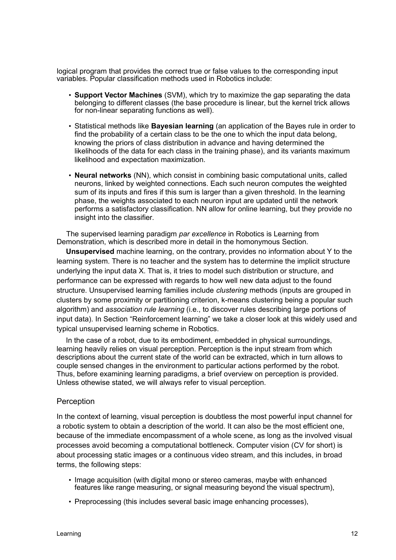logical program that provides the correct true or false values to the corresponding input variables. Popular classification methods used in Robotics include:

- **Support Vector Machines** (SVM), which try to maximize the gap separating the data belonging to different classes (the base procedure is linear, but the kernel trick allows for non-linear separating functions as well).
- Statistical methods like **Bayesian learning** (an application of the Bayes rule in order to find the probability of a certain class to be the one to which the input data belong, knowing the priors of class distribution in advance and having determined the likelihoods of the data for each class in the training phase), and its variants maximum likelihood and expectation maximization.
- **Neural networks** (NN), which consist in combining basic computational units, called neurons, linked by weighted connections. Each such neuron computes the weighted sum of its inputs and fires if this sum is larger than a given threshold. In the learning phase, the weights associated to each neuron input are updated until the network performs a satisfactory classification. NN allow for online learning, but they provide no insight into the classifier.

The supervised learning paradigm *par excellence* in Robotics is Learning from Demonstration, which is described more in detail in the homonymous Section.

**Unsupervised** machine learning, on the contrary, provides no information about Y to the learning system. There is no teacher and the system has to determine the implicit structure underlying the input data X. That is, it tries to model such distribution or structure, and performance can be expressed with regards to how well new data adjust to the found structure. Unsupervised learning families include *clustering* methods (inputs are grouped in clusters by some proximity or partitioning criterion, k-means clustering being a popular such algorithm) and *association rule learning* (i.e., to discover rules describing large portions of input data). In Section "Reinforcement learning" we take a closer look at this widely used and typical unsupervised learning scheme in Robotics.

In the case of a robot, due to its embodiment, embedded in physical surroundings, learning heavily relies on visual perception. Perception is the input stream from which descriptions about the current state of the world can be extracted, which in turn allows to couple sensed changes in the environment to particular actions performed by the robot. Thus, before examining learning paradigms, a brief overview on perception is provided. Unless othewise stated, we will always refer to visual perception.

#### **Perception**

In the context of learning, visual perception is doubtless the most powerful input channel for a robotic system to obtain a description of the world. It can also be the most efficient one, because of the immediate encompassment of a whole scene, as long as the involved visual processes avoid becoming a computational bottleneck. Computer vision (CV for short) is about processing static images or a continuous video stream, and this includes, in broad terms, the following steps:

- Image acquisition (with digital mono or stereo cameras, maybe with enhanced features like range measuring, or signal measuring beyond the visual spectrum),
- Preprocessing (this includes several basic image enhancing processes),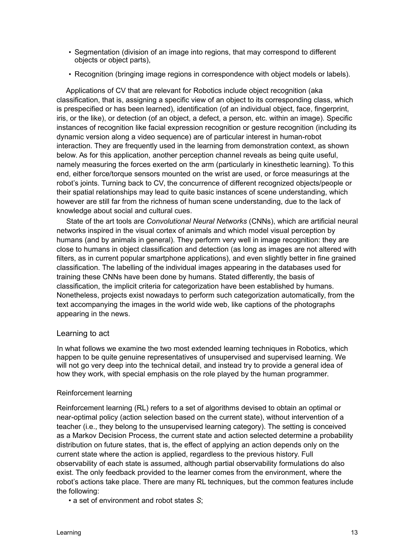- Segmentation (division of an image into regions, that may correspond to different objects or object parts),
- Recognition (bringing image regions in correspondence with object models or labels).

Applications of CV that are relevant for Robotics include object recognition (aka classification, that is, assigning a specific view of an object to its corresponding class, which is prespecified or has been learned), identification (of an individual object, face, fingerprint, iris, or the like), or detection (of an object, a defect, a person, etc. within an image). Specific instances of recognition like facial expression recognition or gesture recognition (including its dynamic version along a video sequence) are of particular interest in human-robot interaction. They are frequently used in the learning from demonstration context, as shown below. As for this application, another perception channel reveals as being quite useful, namely measuring the forces exerted on the arm (particularly in kinesthetic learning). To this end, either force/torque sensors mounted on the wrist are used, or force measurings at the robot's joints. Turning back to CV, the concurrence of different recognized objects/people or their spatial relationships may lead to quite basic instances of scene understanding, which however are still far from the richness of human scene understanding, due to the lack of knowledge about social and cultural cues.

State of the art tools are *Convolutional Neural Networks* (CNNs), which are artificial neural networks inspired in the visual cortex of animals and which model visual perception by humans (and by animals in general). They perform very well in image recognition: they are close to humans in object classification and detection (as long as images are not altered with filters, as in current popular smartphone applications), and even slightly better in fine grained classification. The labelling of the individual images appearing in the databases used for training these CNNs have been done by humans. Stated differently, the basis of classification, the implicit criteria for categorization have been established by humans. Nonetheless, projects exist nowadays to perform such categorization automatically, from the text accompanying the images in the world wide web, like captions of the photographs appearing in the news.

### Learning to act

In what follows we examine the two most extended learning techniques in Robotics, which happen to be quite genuine representatives of unsupervised and supervised learning. We will not go very deep into the technical detail, and instead try to provide a general idea of how they work, with special emphasis on the role played by the human programmer.

#### Reinforcement learning

Reinforcement learning (RL) refers to a set of algorithms devised to obtain an optimal or near-optimal policy (action selection based on the current state), without intervention of a teacher (i.e., they belong to the unsupervised learning category). The setting is conceived as a Markov Decision Process, the current state and action selected determine a probability distribution on future states, that is, the effect of applying an action depends only on the current state where the action is applied, regardless to the previous history. Full observability of each state is assumed, although partial observability formulations do also exist. The only feedback provided to the learner comes from the environment, where the robot's actions take place. There are many RL techniques, but the common features include the following:

• a set of environment and robot states *S*;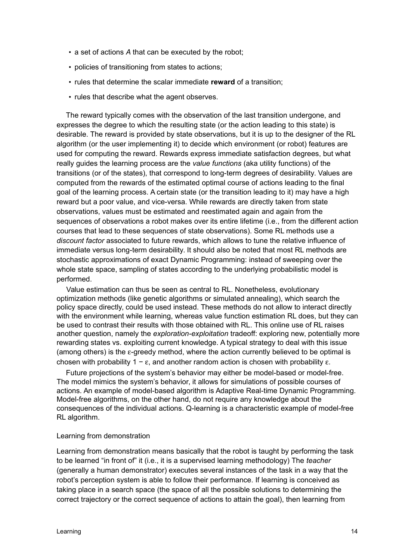- a set of actions *A* that can be executed by the robot;
- policies of transitioning from states to actions;
- rules that determine the scalar immediate **reward** of a transition;
- rules that describe what the agent observes.

The reward typically comes with the observation of the last transition undergone, and expresses the degree to which the resulting state (or the action leading to this state) is desirable. The reward is provided by state observations, but it is up to the designer of the RL algorithm (or the user implementing it) to decide which environment (or robot) features are used for computing the reward. Rewards express immediate satisfaction degrees, but what really guides the learning process are the *value functions* (aka utility functions) of the transitions (or of the states), that correspond to long-term degrees of desirability. Values are computed from the rewards of the estimated optimal course of actions leading to the final goal of the learning process. A certain state (or the transition leading to it) may have a high reward but a poor value, and vice-versa. While rewards are directly taken from state observations, values must be estimated and reestimated again and again from the sequences of observations a robot makes over its entire lifetime (i.e., from the different action courses that lead to these sequences of state observations). Some RL methods use a *discount factor* associated to future rewards, which allows to tune the relative influence of immediate versus long-term desirability. It should also be noted that most RL methods are stochastic approximations of exact Dynamic Programming: instead of sweeping over the whole state space, sampling of states according to the underlying probabilistic model is performed.

Value estimation can thus be seen as central to RL. Nonetheless, evolutionary optimization methods (like genetic algorithms or simulated annealing), which search the policy space directly, could be used instead. These methods do not allow to interact directly with the environment while learning, whereas value function estimation RL does, but they can be used to contrast their results with those obtained with RL. This online use of RL raises another question, namely the *exploration-exploitation* tradeoff: exploring new, potentially more rewarding states vs. exploiting current knowledge. A typical strategy to deal with this issue (among others) is the  $\varepsilon$ -greedy method, where the action currently believed to be optimal is chosen with probability 1 –  $\varepsilon$ , and another random action is chosen with probability  $\varepsilon$ .

Future projections of the system's behavior may either be model-based or model-free. The model mimics the system's behavior, it allows for simulations of possible courses of actions. An example of model-based algorithm is Adaptive Real-time Dynamic Programming. Model-free algorithms, on the other hand, do not require any knowledge about the consequences of the individual actions. Q-learning is a characteristic example of model-free RL algorithm.

#### Learning from demonstration

Learning from demonstration means basically that the robot is taught by performing the task to be learned "in front of" it (i.e., it is a supervised learning methodology) The *teacher* (generally a human demonstrator) executes several instances of the task in a way that the robot's perception system is able to follow their performance. If learning is conceived as taking place in a search space (the space of all the possible solutions to determining the correct trajectory or the correct sequence of actions to attain the goal), then learning from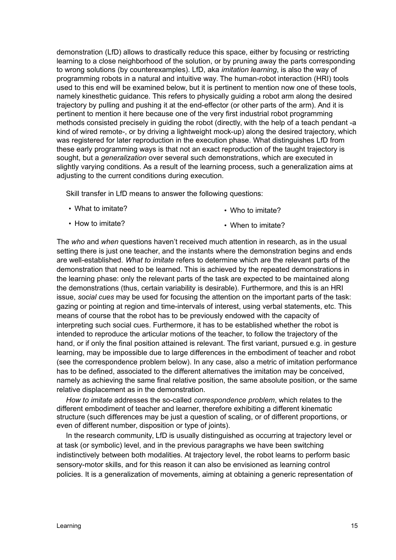demonstration (LfD) allows to drastically reduce this space, either by focusing or restricting learning to a close neighborhood of the solution, or by pruning away the parts corresponding to wrong solutions (by counterexamples). LfD, aka *imitation learning*, is also the way of programming robots in a natural and intuitive way. The human-robot interaction (HRI) tools used to this end will be examined below, but it is pertinent to mention now one of these tools, namely kinesthetic guidance. This refers to physically guiding a robot arm along the desired trajectory by pulling and pushing it at the end-effector (or other parts of the arm). And it is pertinent to mention it here because one of the very first industrial robot programming methods consisted precisely in guiding the robot (directly, with the help of a teach pendant -a kind of wired remote-, or by driving a lightweight mock-up) along the desired trajectory, which was registered for later reproduction in the execution phase. What distinguishes LfD from these early programming ways is that not an exact reproduction of the taught trajectory is sought, but a *generalization* over several such demonstrations, which are executed in slightly varying conditions. As a result of the learning process, such a generalization aims at adjusting to the current conditions during execution.

Skill transfer in LfD means to answer the following questions:

• What to imitate?

• Who to imitate?

• How to imitate? • When to imitate?

The *who* and *when* questions haven't received much attention in research, as in the usual setting there is just one teacher, and the instants where the demonstration begins and ends are well-established. *What to imitate* refers to determine which are the relevant parts of the demonstration that need to be learned. This is achieved by the repeated demonstrations in the learning phase: only the relevant parts of the task are expected to be maintained along the demonstrations (thus, certain variability is desirable). Furthermore, and this is an HRI issue, *social cues* may be used for focusing the attention on the important parts of the task: gazing or pointing at region and time-intervals of interest, using verbal statements, etc. This means of course that the robot has to be previously endowed with the capacity of interpreting such social cues. Furthermore, it has to be established whether the robot is intended to reproduce the articular motions of the teacher, to follow the trajectory of the hand, or if only the final position attained is relevant. The first variant, pursued e.g. in gesture learning, may be impossible due to large differences in the embodiment of teacher and robot (see the correspondence problem below). In any case, also a metric of imitation performance has to be defined, associated to the different alternatives the imitation may be conceived, namely as achieving the same final relative position, the same absolute position, or the same relative displacement as in the demonstration.

*How to imitate* addresses the so-called *correspondence problem*, which relates to the different embodiment of teacher and learner, therefore exhibiting a different kinematic structure (such differences may be just a question of scaling, or of different proportions, or even of different number, disposition or type of joints).

In the research community, LfD is usually distinguished as occurring at trajectory level or at task (or symbolic) level, and in the previous paragraphs we have been switching indistinctively between both modalities. At trajectory level, the robot learns to perform basic sensory-motor skills, and for this reason it can also be envisioned as learning control policies. It is a generalization of movements, aiming at obtaining a generic representation of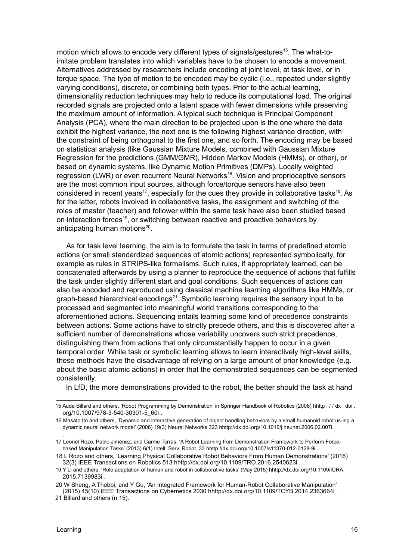motion which allows to encode very different types of signals/gestures<sup>15</sup>. The what-toimitate problem translates into which variables have to be chosen to encode a movement. Alternatives addressed by researchers include encoding at joint level, at task level, or in torque space. The type of motion to be encoded may be cyclic (i.e., repeated under slightly varying conditions), discrete, or combining both types. Prior to the actual learning, dimensionality reduction techniques may help to reduce its computational load. The original recorded signals are projected onto a latent space with fewer dimensions while preserving the maximum amount of information. A typical such technique is Principal Component Analysis (PCA), where the main direction to be projected upon is the one where the data exhibit the highest variance, the next one is the following highest variance direction, with the constraint of being orthogonal to the first one, and so forth. The encoding may be based on statistical analysis (like Gaussian Mixture Models, combined with Gaussian Mixture Regression for the predictions (GMM/GMR), Hidden Markov Models (HMMs), or other), or based on dynamic systems, like Dynamic Motion Primitives (DMPs), Locally weighted regression (LWR) or even recurrent Neural Networks<sup>16</sup>. Vision and proprioceptive sensors are the most common input sources, although force/torque sensors have also been considered in recent years<sup>17</sup>, especially for the cues they provide in collaborative tasks<sup>18</sup>. As for the latter, robots involved in collaborative tasks, the assignment and switching of the roles of master (teacher) and follower within the same task have also been studied based on interaction forces<sup>19</sup>, or switching between reactive and proactive behaviors by anticipating human motions<sup>20</sup>.

As for task level learning, the aim is to formulate the task in terms of predefined atomic actions (or small standardized sequences of atomic actions) represented symbolically, for example as rules in STRIPS-like formalisms. Such rules, if appropriately learned, can be concatenated afterwards by using a planner to reproduce the sequence of actions that fulfills the task under slightly different start and goal conditions. Such sequences of actions can also be encoded and reproduced using classical machine learning algorithms like HMMs, or graph-based hierarchical encodings $21$ . Symbolic learning requires the sensory input to be processed and segmented into meaningful world transitions corresponding to the aforementioned actions. Sequencing entails learning some kind of precedence constraints between actions. Some actions have to strictly precede others, and this is discovered after a sufficient number of demonstrations whose variability uncovers such strict precedence, distinguishing them from actions that only circumstantially happen to occur in a given temporal order. While task or symbolic learning allows to learn interactively high-level skills, these methods have the disadvantage of relying on a large amount of prior knowledge (e.g. about the basic atomic actions) in order that the demonstrated sequences can be segmented consistently.

In LfD, the more demonstrations provided to the robot, the better should the task at hand

.

<sup>15</sup> Aude Billard and others, 'Robot Programming by Demonstration' in Springer Handbook of Robotics (2008) hhttp : / / dx . doi . org/10.1007/978-3-540-30301-5\_60i .

<sup>16</sup> Masato Ito and others, 'Dynamic and interactive generation of object handling behaviors by a small humanoid robot us-ing a dynamic neural network model' (2006) 19(3) Neural Networks 323 hhttp://dx.doi.org/10.1016/j.neunet.2006.02.007i

<sup>17</sup> Leonel Rozo, Pablo Jiménez, and Carme Torras, 'A Robot Learning from Demonstration Framework to Perform Forcebased Manipulation Tasks' (2013) 6(1) Intell. Serv. Robot. 33 hhttp://dx.doi.org/10.1007/s11370-012-0128-9i .

<sup>18</sup> L Rozo and others, 'Learning Physical Collaborative Robot Behaviors From Human Demonstrations' (2016) 32(3) IEEE Transactions on Robotics 513 hhttp://dx.doi.org/10.1109/TRO.2016.2540623i .

<sup>19</sup> Y Li and others, 'Role adaptation of human and robot in collaborative tasks' (May 2015) hhttp://dx.doi.org/10.1109/ICRA. 2015.7139983i .

<sup>20</sup> W Sheng, A Thobbi, and Y Gu, 'An Integrated Framework for Human-Robot Collaborative Manipulation' (2015) 45(10) IEEE Transactions on Cybernetics 2030 hhttp://dx.doi.org/10.1109/TCYB.2014.2363664i .

<sup>21</sup> Billard and others (n 15).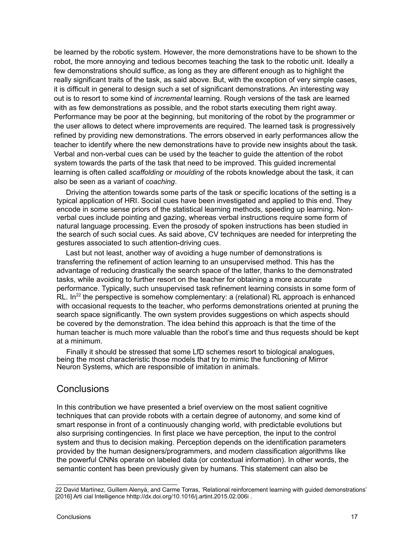be learned by the robotic system. However, the more demonstrations have to be shown to the robot, the more annoying and tedious becomes teaching the task to the robotic unit. Ideally a few demonstrations should suffice, as long as they are different enough as to highlight the really significant traits of the task, as said above. But, with the exception of very simple cases, it is difficult in general to design such a set of significant demonstrations. An interesting way out is to resort to some kind of *incremental* learning. Rough versions of the task are learned with as few demonstrations as possible, and the robot starts executing them right away. Performance may be poor at the beginning, but monitoring of the robot by the programmer or the user allows to detect where improvements are required. The learned task is progressively refined by providing new demonstrations. The errors observed in early performances allow the teacher to identify where the new demonstrations have to provide new insights about the task. Verbal and non-verbal cues can be used by the teacher to guide the attention of the robot system towards the parts of the task that need to be improved. This guided incremental learning is often called *scaffolding* or *moulding* of the robots knowledge about the task, it can also be seen as a variant of *coaching*.

Driving the attention towards some parts of the task or specific locations of the setting is a typical application of HRI. Social cues have been investigated and applied to this end. They encode in some sense priors of the statistical learning methods, speeding up learning. Nonverbal cues include pointing and gazing, whereas verbal instructions require some form of natural language processing. Even the prosody of spoken instructions has been studied in the search of such social cues. As said above, CV techniques are needed for interpreting the gestures associated to such attention-driving cues.

Last but not least, another way of avoiding a huge number of demonstrations is transferring the refinement of action learning to an unsupervised method. This has the advantage of reducing drastically the search space of the latter, thanks to the demonstrated tasks, while avoiding to further resort on the teacher for obtaining a more accurate performance. Typically, such unsupervised task refinement learning consists in some form of RL.  $In^{22}$  the perspective is somehow complementary: a (relational) RL approach is enhanced with occasional requests to the teacher, who performs demonstrations oriented at pruning the search space significantly. The own system provides suggestions on which aspects should be covered by the demonstration. The idea behind this approach is that the time of the human teacher is much more valuable than the robot's time and thus requests should be kept at a minimum.

Finally it should be stressed that some LfD schemes resort to biological analogues, being the most characteristic those models that try to mimic the functioning of Mirror Neuron Systems, which are responsible of imitation in animals.

# **Conclusions**

In this contribution we have presented a brief overview on the most salient cognitive techniques that can provide robots with a certain degree of autonomy, and some kind of smart response in front of a continuously changing world, with predictable evolutions but also surprising contingencies. In first place we have perception, the input to the control system and thus to decision making. Perception depends on the identification parameters provided by the human designers/programmers, and modern classification algorithms like the powerful CNNs operate on labeled data (or contextual information). In other words, the semantic content has been previously given by humans. This statement can also be

<sup>22</sup> David Martínez, Guillem Alenyà, and Carme Torras, 'Relational reinforcement learning with guided demonstrations' [2016] Arti cial Intelligence hhttp://dx.doi.org/10.1016/j.artint.2015.02.006i .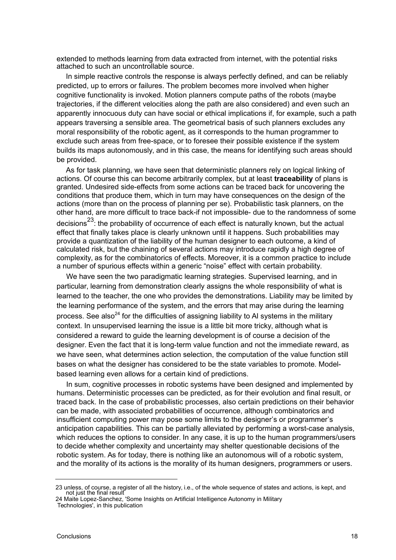extended to methods learning from data extracted from internet, with the potential risks attached to such an uncontrollable source.

In simple reactive controls the response is always perfectly defined, and can be reliably predicted, up to errors or failures. The problem becomes more involved when higher cognitive functionality is invoked. Motion planners compute paths of the robots (maybe trajectories, if the different velocities along the path are also considered) and even such an apparently innocuous duty can have social or ethical implications if, for example, such a path appears traversing a sensible area. The geometrical basis of such planners excludes any moral responsibility of the robotic agent, as it corresponds to the human programmer to exclude such areas from free-space, or to foresee their possible existence if the system builds its maps autonomously, and in this case, the means for identifying such areas should be provided.

As for task planning, we have seen that deterministic planners rely on logical linking of actions. Of course this can become arbitrarily complex, but at least **traceability** of plans is granted. Undesired side-effects from some actions can be traced back for uncovering the conditions that produce them, which in turn may have consequences on the design of the actions (more than on the process of planning per se). Probabilistic task planners, on the other hand, are more difficult to trace back-if not impossible- due to the randomness of some decisions<sup>23</sup>: the probability of occurrence of each effect is naturally known, but the actual effect that finally takes place is clearly unknown until it happens. Such probabilities may provide a quantization of the liability of the human designer to each outcome, a kind of calculated risk, but the chaining of several actions may introduce rapidly a high degree of complexity, as for the combinatorics of effects. Moreover, it is a common practice to include a number of spurious effects within a generic "noise" effect with certain probability.

We have seen the two paradigmatic learning strategies. Supervised learning, and in particular, learning from demonstration clearly assigns the whole responsibility of what is learned to the teacher, the one who provides the demonstrations. Liability may be limited by the learning performance of the system, and the errors that may arise during the learning process. See also<sup>24</sup> for the difficulties of assigning liability to AI systems in the military context. In unsupervised learning the issue is a little bit more tricky, although what is considered a reward to guide the learning development is of course a decision of the designer. Even the fact that it is long-term value function and not the immediate reward, as we have seen, what determines action selection, the computation of the value function still bases on what the designer has considered to be the state variables to promote. Modelbased learning even allows for a certain kind of predictions.

In sum, cognitive processes in robotic systems have been designed and implemented by humans. Deterministic processes can be predicted, as for their evolution and final result, or traced back. In the case of probabilistic processes, also certain predictions on their behavior can be made, with associated probabilities of occurrence, although combinatorics and insufficient computing power may pose some limits to the designer's or programmer's anticipation capabilities. This can be partially alleviated by performing a worst-case analysis, which reduces the options to consider. In any case, it is up to the human programmers/users to decide whether complexity and uncertainty may shelter questionable decisions of the robotic system. As for today, there is nothing like an autonomous will of a robotic system, and the morality of its actions is the morality of its human designers, programmers or users.

<sup>23</sup> unless, of course, a register of all the history, i.e., of the whole sequence of states and actions, is kept, and not just the final result

<sup>24</sup> Maite Lopez-Sanchez, 'Some Insights on Artificial Intelligence Autonomy in Military Technologies', in this publication